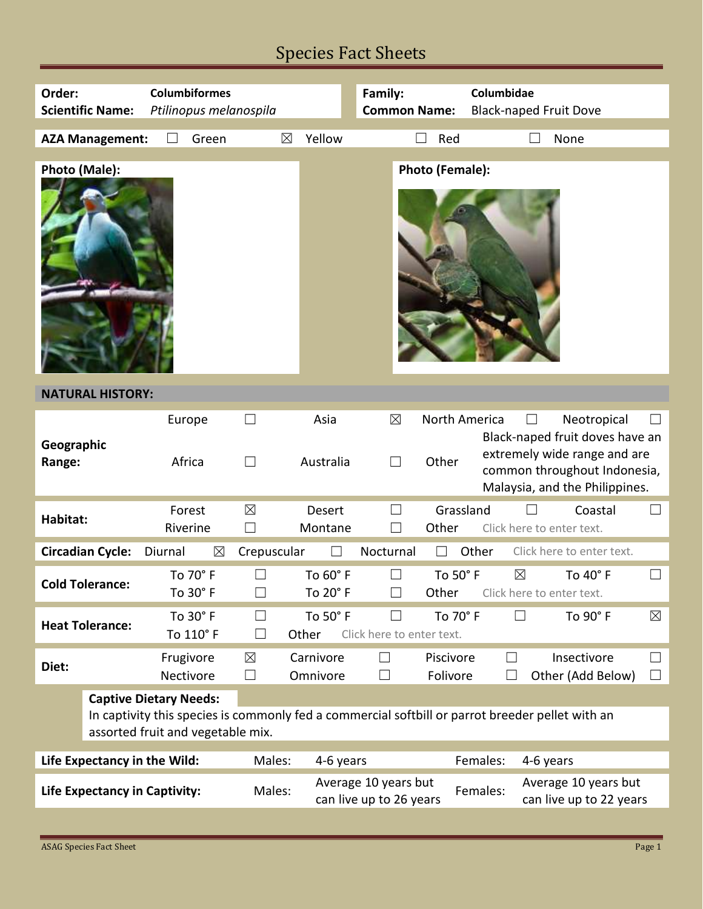# Species Fact Sheets

| Order:<br><b>Columbiformes</b>         |                                                                                                                                       |                                |                       | Family:                                         |                             | Columbidae             |                                          |                                                                                                                |  |  |  |
|----------------------------------------|---------------------------------------------------------------------------------------------------------------------------------------|--------------------------------|-----------------------|-------------------------------------------------|-----------------------------|------------------------|------------------------------------------|----------------------------------------------------------------------------------------------------------------|--|--|--|
| <b>Scientific Name:</b>                |                                                                                                                                       | Ptilinopus melanospila         |                       |                                                 | <b>Common Name:</b>         |                        | <b>Black-naped Fruit Dove</b>            |                                                                                                                |  |  |  |
|                                        |                                                                                                                                       |                                |                       |                                                 |                             |                        |                                          |                                                                                                                |  |  |  |
|                                        | <b>AZA Management:</b>                                                                                                                | Green                          | $\boxtimes$           | Yellow                                          |                             | Red                    | None                                     |                                                                                                                |  |  |  |
|                                        |                                                                                                                                       |                                |                       |                                                 |                             |                        |                                          |                                                                                                                |  |  |  |
| Photo (Male):                          |                                                                                                                                       |                                |                       |                                                 |                             | Photo (Female):        |                                          |                                                                                                                |  |  |  |
| <b>NATURAL HISTORY:</b>                |                                                                                                                                       |                                |                       |                                                 |                             |                        |                                          |                                                                                                                |  |  |  |
| Geographic<br>Range:                   |                                                                                                                                       | Europe<br>Africa<br>$\Box$     |                       | Asia<br>Australia                               | $\boxtimes$<br>$\mathsf{L}$ | North America<br>Other |                                          | Neotropical<br>Black-naped fruit doves have an<br>extremely wide range and are<br>common throughout Indonesia, |  |  |  |
|                                        |                                                                                                                                       |                                |                       |                                                 |                             |                        | Malaysia, and the Philippines.           |                                                                                                                |  |  |  |
| Habitat:                               |                                                                                                                                       | Forest<br>Riverine             | $\boxtimes$           | Desert<br>Montane                               |                             | Grassland<br>Other     | Click here to enter text.                | Coastal<br>$\Box$                                                                                              |  |  |  |
|                                        | <b>Circadian Cycle:</b>                                                                                                               | Diurnal<br>$\boxtimes$         | Crepuscular           |                                                 | Nocturnal                   |                        | Other<br>Click here to enter text.       |                                                                                                                |  |  |  |
|                                        | <b>Cold Tolerance:</b>                                                                                                                | To 70° F<br>To 30 $^{\circ}$ F |                       | To 60° F<br>To 20° F                            |                             | To 50° F<br>Other      | $\boxtimes$<br>Click here to enter text. | To 40° F                                                                                                       |  |  |  |
| <b>Heat Tolerance:</b>                 |                                                                                                                                       | To 30° F<br>To 110° F          | $\Box$                | To 50° F<br>Other                               | Click here to enter text.   | To 70° F               | $\Box$                                   | To 90° F<br>$\boxtimes$                                                                                        |  |  |  |
| Diet:                                  |                                                                                                                                       | Frugivore<br>Nectivore         | $\boxtimes$<br>$\Box$ | Carnivore<br>Omnivore                           | $\Box$<br>⊔                 | Piscivore<br>Folivore  | $\Box$<br>П                              | Insectivore<br>$\Box$<br>Other (Add Below)<br>$\Box$                                                           |  |  |  |
|                                        |                                                                                                                                       | <b>Captive Dietary Needs:</b>  |                       |                                                 |                             |                        |                                          |                                                                                                                |  |  |  |
|                                        | In captivity this species is commonly fed a commercial softbill or parrot breeder pellet with an<br>assorted fruit and vegetable mix. |                                |                       |                                                 |                             |                        |                                          |                                                                                                                |  |  |  |
| Life Expectancy in the Wild:<br>Males: |                                                                                                                                       |                                |                       | 4-6 years                                       |                             |                        | Females:<br>4-6 years                    |                                                                                                                |  |  |  |
| <b>Life Expectancy in Captivity:</b>   |                                                                                                                                       |                                | Males:                | Average 10 years but<br>can live up to 26 years |                             |                        | Females:                                 | Average 10 years but<br>can live up to 22 years                                                                |  |  |  |
|                                        |                                                                                                                                       |                                |                       |                                                 |                             |                        |                                          |                                                                                                                |  |  |  |

Г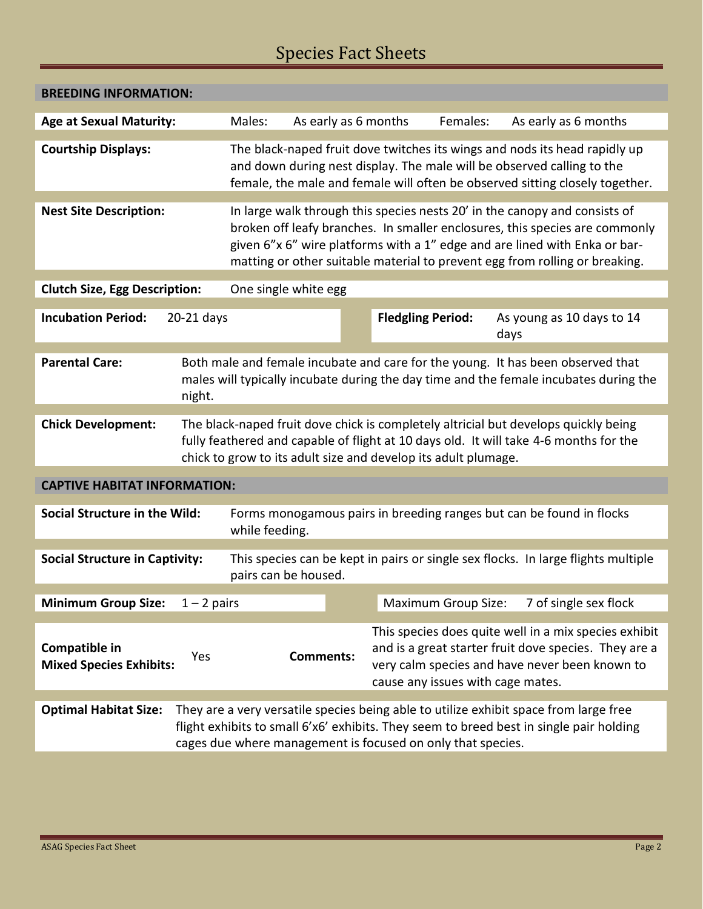# Species Fact Sheets

| <b>BREEDING INFORMATION:</b>                                                                                                                                                                                                                                                    |                                                                                                                                                                                                                                                                                                                        |                  |                                                                                                                                                                                                       |                            |                                   |  |  |  |  |
|---------------------------------------------------------------------------------------------------------------------------------------------------------------------------------------------------------------------------------------------------------------------------------|------------------------------------------------------------------------------------------------------------------------------------------------------------------------------------------------------------------------------------------------------------------------------------------------------------------------|------------------|-------------------------------------------------------------------------------------------------------------------------------------------------------------------------------------------------------|----------------------------|-----------------------------------|--|--|--|--|
| <b>Age at Sexual Maturity:</b>                                                                                                                                                                                                                                                  | Males:<br>As early as 6 months                                                                                                                                                                                                                                                                                         |                  | Females:                                                                                                                                                                                              |                            | As early as 6 months              |  |  |  |  |
| <b>Courtship Displays:</b>                                                                                                                                                                                                                                                      | The black-naped fruit dove twitches its wings and nods its head rapidly up<br>and down during nest display. The male will be observed calling to the<br>female, the male and female will often be observed sitting closely together.                                                                                   |                  |                                                                                                                                                                                                       |                            |                                   |  |  |  |  |
| <b>Nest Site Description:</b>                                                                                                                                                                                                                                                   | In large walk through this species nests 20' in the canopy and consists of<br>broken off leafy branches. In smaller enclosures, this species are commonly<br>given 6"x 6" wire platforms with a 1" edge and are lined with Enka or bar-<br>matting or other suitable material to prevent egg from rolling or breaking. |                  |                                                                                                                                                                                                       |                            |                                   |  |  |  |  |
| <b>Clutch Size, Egg Description:</b>                                                                                                                                                                                                                                            | One single white egg                                                                                                                                                                                                                                                                                                   |                  |                                                                                                                                                                                                       |                            |                                   |  |  |  |  |
| <b>Incubation Period:</b><br>20-21 days                                                                                                                                                                                                                                         |                                                                                                                                                                                                                                                                                                                        |                  | <b>Fledgling Period:</b>                                                                                                                                                                              |                            | As young as 10 days to 14<br>days |  |  |  |  |
| <b>Parental Care:</b><br>Both male and female incubate and care for the young. It has been observed that<br>males will typically incubate during the day time and the female incubates during the<br>night.                                                                     |                                                                                                                                                                                                                                                                                                                        |                  |                                                                                                                                                                                                       |                            |                                   |  |  |  |  |
| <b>Chick Development:</b>                                                                                                                                                                                                                                                       | The black-naped fruit dove chick is completely altricial but develops quickly being<br>fully feathered and capable of flight at 10 days old. It will take 4-6 months for the<br>chick to grow to its adult size and develop its adult plumage.                                                                         |                  |                                                                                                                                                                                                       |                            |                                   |  |  |  |  |
| <b>CAPTIVE HABITAT INFORMATION:</b>                                                                                                                                                                                                                                             |                                                                                                                                                                                                                                                                                                                        |                  |                                                                                                                                                                                                       |                            |                                   |  |  |  |  |
| Social Structure in the Wild:                                                                                                                                                                                                                                                   | Forms monogamous pairs in breeding ranges but can be found in flocks<br>while feeding.                                                                                                                                                                                                                                 |                  |                                                                                                                                                                                                       |                            |                                   |  |  |  |  |
| <b>Social Structure in Captivity:</b>                                                                                                                                                                                                                                           | This species can be kept in pairs or single sex flocks. In large flights multiple<br>pairs can be housed.                                                                                                                                                                                                              |                  |                                                                                                                                                                                                       |                            |                                   |  |  |  |  |
| <b>Minimum Group Size:</b><br>$1 - 2$ pairs                                                                                                                                                                                                                                     |                                                                                                                                                                                                                                                                                                                        |                  |                                                                                                                                                                                                       | <b>Maximum Group Size:</b> | 7 of single sex flock             |  |  |  |  |
| Compatible in<br>Yes<br><b>Mixed Species Exhibits:</b>                                                                                                                                                                                                                          |                                                                                                                                                                                                                                                                                                                        | <b>Comments:</b> | This species does quite well in a mix species exhibit<br>and is a great starter fruit dove species. They are a<br>very calm species and have never been known to<br>cause any issues with cage mates. |                            |                                   |  |  |  |  |
| <b>Optimal Habitat Size:</b><br>They are a very versatile species being able to utilize exhibit space from large free<br>flight exhibits to small 6'x6' exhibits. They seem to breed best in single pair holding<br>cages due where management is focused on only that species. |                                                                                                                                                                                                                                                                                                                        |                  |                                                                                                                                                                                                       |                            |                                   |  |  |  |  |